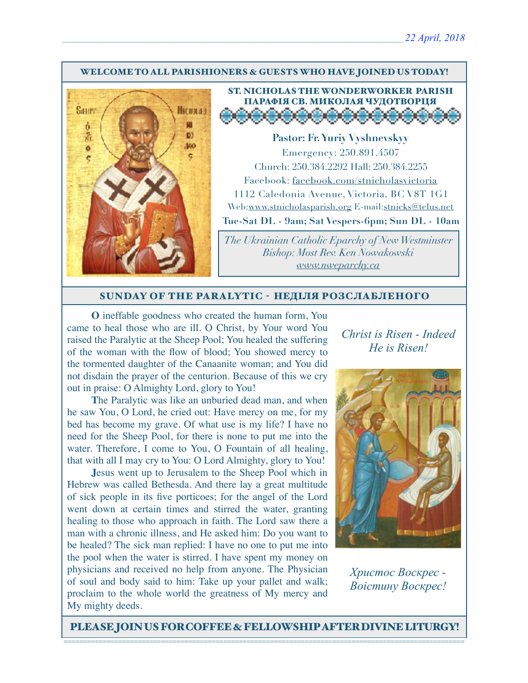#### WELCOME TO ALL PARISHIONERS & GUESTS WHO HAVE JOINED US TODAY!



# ST. NICHOLAS THE WONDERWORKER PARISH ПАРАФІЯ СВ. МИКОЛАЯ ЧУДОТВОРЦЯ

**Pastor: Fr. Yuriy Vyshnevskyy** Emergency: 250.891.4507 Church: 250.384.2292 Hall: 250.384.2255 Facebook: facebook.com/stnicholasvictoria 1112 Caledonia Avenue, Victoria, BC V8T 1G1 Web[:www.stnicholasparish.org](http://www.stnicholasparish.org) E-mail:[stnicks@telus.net](mailto:stnicks@telus.net) **Tue-Sat DL - 9am; Sat Vespers-6pm; Sun DL - 10am**

*The Ukrainian Catholic Eparchy of New Westminster Bishop: Most Rev. Ken Nowakowski [www.nweparchy.ca](http://www.nweparchy.ca)*

#### SUNDAY OF THE PARALYTIC - НЕДІЛЯ РОЗСЛАБЛЕНОГО

**O** ineffable goodness who created the human form, You came to heal those who are ill. O Christ, by Your word You raised the Paralytic at the Sheep Pool; You healed the suffering of the woman with the flow of blood; You showed mercy to the tormented daughter of the Canaanite woman; and You did not disdain the prayer of the centurion. Because of this we cry out in praise: O Almighty Lord, glory to You!

**T**he Paralytic was like an unburied dead man, and when he saw You, O Lord, he cried out: Have mercy on me, for my bed has become my grave. Of what use is my life? I have no need for the Sheep Pool, for there is none to put me into the water. Therefore, I come to You, O Fountain of all healing, that with all I may cry to You: O Lord Almighty, glory to You!

**J**esus went up to Jerusalem to the Sheep Pool which in Hebrew was called Bethesda. And there lay a great multitude of sick people in its five porticoes; for the angel of the Lord went down at certain times and stirred the water, granting healing to those who approach in faith. The Lord saw there a man with a chronic illness, and He asked him: Do you want to be healed? The sick man replied: I have no one to put me into the pool when the water is stirred. I have spent my money on physicians and received no help from anyone. The Physician of soul and body said to him: Take up your pallet and walk; proclaim to the whole world the greatness of My mercy and My mighty deeds.

*Christ is Risen - Indeed He is Risen!* 



*Христос Воскрес - Воістину Воскрес!*

======================================================================================================= PLEASE JOIN US FOR COFFEE & FELLOWSHIP AFTER DIVINE LITURGY!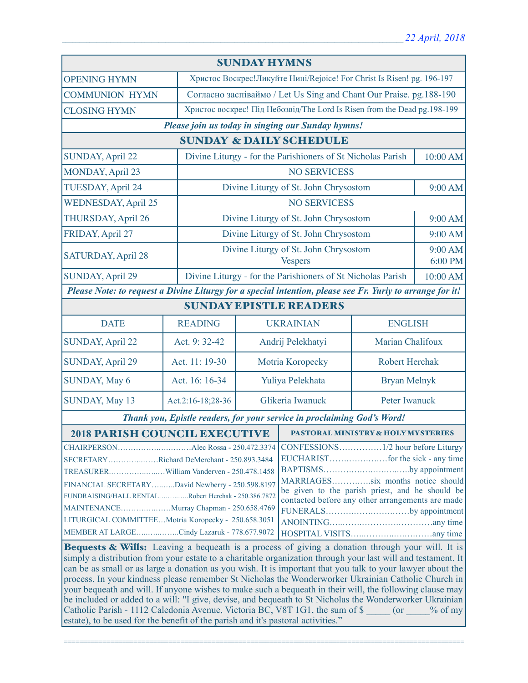| <b>SUNDAY HYMNS</b>                                                                                        |                   |                                                             |                                                                           |                                                             |                    |  |
|------------------------------------------------------------------------------------------------------------|-------------------|-------------------------------------------------------------|---------------------------------------------------------------------------|-------------------------------------------------------------|--------------------|--|
| <b>OPENING HYMN</b>                                                                                        |                   |                                                             | Христос Воскрес! Ликуйте Нині/Rejoice! For Christ Is Risen! pg. 196-197   |                                                             |                    |  |
| <b>COMMUNION HYMN</b>                                                                                      |                   |                                                             | Согласно заспіваймо / Let Us Sing and Chant Our Praise. pg. 188-190       |                                                             |                    |  |
| <b>CLOSING HYMN</b>                                                                                        |                   |                                                             | Христос воскрес! Під Небозвід/The Lord Is Risen from the Dead pg. 198-199 |                                                             |                    |  |
| Please join us today in singing our Sunday hymns!                                                          |                   |                                                             |                                                                           |                                                             |                    |  |
| <b>SUNDAY &amp; DAILY SCHEDULE</b>                                                                         |                   |                                                             |                                                                           |                                                             |                    |  |
| <b>SUNDAY, April 22</b>                                                                                    |                   | Divine Liturgy - for the Parishioners of St Nicholas Parish |                                                                           | 10:00 AM                                                    |                    |  |
| <b>MONDAY, April 23</b>                                                                                    |                   |                                                             |                                                                           | <b>NO SERVICESS</b>                                         |                    |  |
| TUESDAY, April 24                                                                                          |                   |                                                             | Divine Liturgy of St. John Chrysostom                                     |                                                             | 9:00 AM            |  |
| <b>WEDNESDAY, April 25</b>                                                                                 |                   | <b>NO SERVICESS</b>                                         |                                                                           |                                                             |                    |  |
| THURSDAY, April 26                                                                                         |                   |                                                             | Divine Liturgy of St. John Chrysostom                                     |                                                             | 9:00 AM            |  |
| FRIDAY, April 27                                                                                           |                   |                                                             | Divine Liturgy of St. John Chrysostom                                     |                                                             | 9:00 AM            |  |
| <b>SATURDAY, April 28</b>                                                                                  |                   |                                                             | Divine Liturgy of St. John Chrysostom<br><b>Vespers</b>                   |                                                             | 9:00 AM<br>6:00 PM |  |
| <b>SUNDAY, April 29</b>                                                                                    |                   |                                                             |                                                                           | Divine Liturgy - for the Parishioners of St Nicholas Parish |                    |  |
| Please Note: to request a Divine Liturgy for a special intention, please see Fr. Yuriy to arrange for it!  |                   |                                                             |                                                                           |                                                             |                    |  |
| <b>SUNDAY EPISTLE READERS</b>                                                                              |                   |                                                             |                                                                           |                                                             |                    |  |
| <b>DATE</b>                                                                                                | <b>READING</b>    | <b>UKRAINIAN</b>                                            |                                                                           | <b>ENGLISH</b>                                              |                    |  |
| <b>SUNDAY, April 22</b>                                                                                    | Act. 9:32-42      | Andrij Pelekhatyi                                           |                                                                           | Marian Chalifoux                                            |                    |  |
| <b>SUNDAY, April 29</b>                                                                                    | Act. 11: 19-30    |                                                             | Motria Koropecky                                                          | <b>Robert Herchak</b>                                       |                    |  |
| SUNDAY, May 6                                                                                              | Act. 16: 16-34    | Yuliya Pelekhata                                            |                                                                           | <b>Bryan Melnyk</b>                                         |                    |  |
| SUNDAY, May 13                                                                                             | Act.2:16-18;28-36 | Glikeria Iwanuck                                            |                                                                           | Peter Iwanuck                                               |                    |  |
| Thank you, Epistle readers, for your service in proclaiming God's Word!                                    |                   |                                                             |                                                                           |                                                             |                    |  |
| <b>2018 PARISH COUNCIL EXECUTIVE</b>                                                                       |                   |                                                             | <b>PASTORAL MINISTRY &amp; HOLY MYSTERIES</b>                             |                                                             |                    |  |
|                                                                                                            |                   |                                                             |                                                                           |                                                             |                    |  |
| SECRETARYRichard DeMerchant - 250.893.3484                                                                 |                   |                                                             |                                                                           |                                                             |                    |  |
| TREASURERWilliam Vanderven - 250.478.1458                                                                  |                   |                                                             | BAPTISMSby appointment<br>MARRIAGESsix months notice should               |                                                             |                    |  |
| FINANCIAL SECRETARYDavid Newberry - 250.598.8197                                                           |                   |                                                             | be given to the parish priest, and he should be                           |                                                             |                    |  |
| FUNDRAISING/HALL RENTALRobert Herchak - 250.386.7872                                                       |                   |                                                             | contacted before any other arrangements are made                          |                                                             |                    |  |
| MAINTENANCEMurray Chapman - 250.658.4769                                                                   |                   |                                                             | FUNERALSby appointment                                                    |                                                             |                    |  |
| LITURGICAL COMMITTEEMotria Koropecky - 250.658.3051                                                        |                   |                                                             |                                                                           |                                                             |                    |  |
| MEMBER AT LARGECindy Lazaruk - 778.677.9072                                                                |                   |                                                             |                                                                           |                                                             |                    |  |
| <b>Bequests &amp; Wills:</b> Leaving a bequeath is a process of giving a donation through your will. It is |                   |                                                             |                                                                           |                                                             |                    |  |

simply a distribution from your estate to a charitable organization through your last will and testament. It can be as small or as large a donation as you wish. It is important that you talk to your lawyer about the process. In your kindness please remember St Nicholas the Wonderworker Ukrainian Catholic Church in your bequeath and will. If anyone wishes to make such a bequeath in their will, the following clause may be included or added to a will: "I give, devise, and bequeath to St Nicholas the Wonderworker Ukrainian Catholic Parish - 1112 Caledonia Avenue, Victoria BC, V8T 1G1, the sum of \$  $\qquad \qquad$  (or  $\qquad \qquad$  % of my estate), to be used for the benefit of the parish and it's pastoral activities."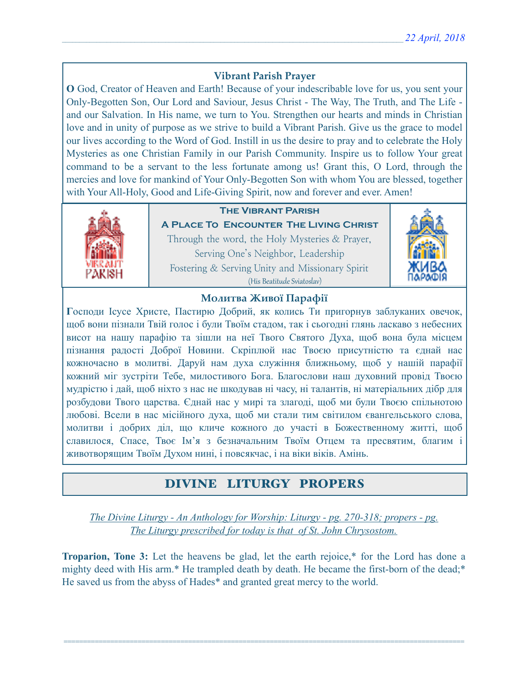# **Vibrant Parish Prayer**

**O** God, Creator of Heaven and Earth! Because of your indescribable love for us, you sent your Only-Begotten Son, Our Lord and Saviour, Jesus Christ - The Way, The Truth, and The Life and our Salvation. In His name, we turn to You. Strengthen our hearts and minds in Christian love and in unity of purpose as we strive to build a Vibrant Parish. Give us the grace to model our lives according to the Word of God. Instill in us the desire to pray and to celebrate the Holy Mysteries as one Christian Family in our Parish Community. Inspire us to follow Your great command to be a servant to the less fortunate among us! Grant this, O Lord, through the mercies and love for mankind of Your Only-Begotten Son with whom You are blessed, together with Your All-Holy, Good and Life-Giving Spirit, now and forever and ever. Amen!



# **The Vibrant Parish**

**A Place To Encounter The Living Christ** Through the word, the Holy Mysteries & Prayer, Serving One's Neighbor, Leadership Fostering & Serving Unity and Missionary Spirit (His Beatitude Sviatoslav)



### **Молитва Живої Парафії**

**Г**осподи Ісусе Христе, Пастирю Добрий, як колись Ти пригорнув заблуканих овечок, щоб вони пізнали Твій голос і були Твоїм стадом, так і сьогодні глянь ласкаво з небесних висот на нашу парафію та зішли на неї Твого Святого Духа, щоб вона була місцем пізнання радості Доброї Новини. Скріплюй нас Твоєю присутністю та єднай нас кожночасно в молитві. Даруй нам духа служіння ближньому, щоб у нашій парафії кожний міг зустріти Тебе, милостивого Бога. Благослови наш духовний провід Твоєю мудрістю і дай, щоб ніхто з нас не шкодував ні часу, ні талантів, ні матеріальних дібр для розбудови Твого царства. Єднай нас у мирі та злагоді, щоб ми були Твоєю спільнотою любові. Всели в нас місійного духа, щоб ми стали тим світилом євангельського слова, молитви і добрих діл, що кличе кожного до участі в Божественному житті, щоб славилося, Спасе, Твоє Ім'я з безначальним Твоїм Отцем та пресвятим, благим і животворящим Твоїм Духом нині, і повсякчас, і на віки віків. Амінь.

# DIVINE LITURGY PROPERS

*The Divine Liturgy - An Anthology for Worship: Liturgy - pg. 270-318; propers - pg. The Liturgy prescribed for today is that of St. John Chrysostom.* 

**Troparion, Tone 3:** Let the heavens be glad, let the earth rejoice,\* for the Lord has done a mighty deed with His arm.\* He trampled death by death. He became the first-born of the dead;\* He saved us from the abyss of Hades\* and granted great mercy to the world.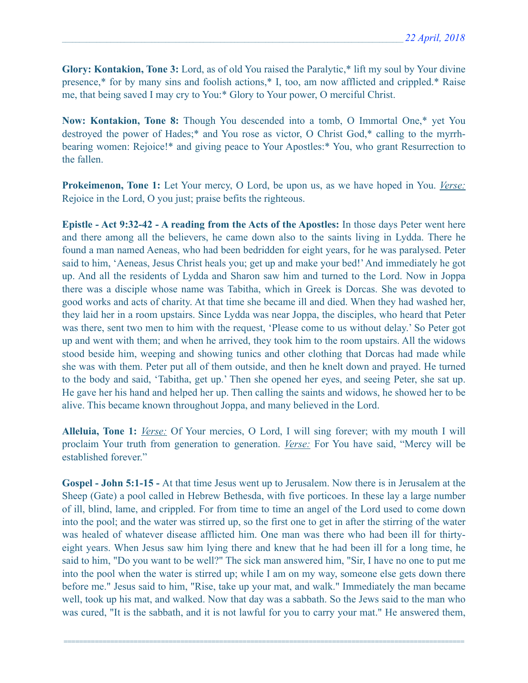**Glory: Kontakion, Tone 3:** Lord, as of old You raised the Paralytic,\* lift my soul by Your divine presence,\* for by many sins and foolish actions,\* I, too, am now afflicted and crippled.\* Raise me, that being saved I may cry to You:\* Glory to Your power, O merciful Christ.

**Now: Kontakion, Tone 8:** Though You descended into a tomb, O Immortal One,\* yet You destroyed the power of Hades;\* and You rose as victor, O Christ God,\* calling to the myrrhbearing women: Rejoice!\* and giving peace to Your Apostles:\* You, who grant Resurrection to the fallen.

**Prokeimenon, Tone 1:** Let Your mercy, O Lord, be upon us, as we have hoped in You. *Verse:* Rejoice in the Lord, O you just; praise befits the righteous.

**Epistle - Act 9:32-42 - A reading from the Acts of the Apostles:** In those days Peter went here and there among all the believers, he came down also to the saints living in Lydda. There he found a man named Aeneas, who had been bedridden for eight years, for he was paralysed. Peter said to him, 'Aeneas, Jesus Christ heals you; get up and make your bed!' And immediately he got up. And all the residents of Lydda and Sharon saw him and turned to the Lord. Now in Joppa there was a disciple whose name was Tabitha, which in Greek is Dorcas. She was devoted to good works and acts of charity. At that time she became ill and died. When they had washed her, they laid her in a room upstairs. Since Lydda was near Joppa, the disciples, who heard that Peter was there, sent two men to him with the request, 'Please come to us without delay.' So Peter got up and went with them; and when he arrived, they took him to the room upstairs. All the widows stood beside him, weeping and showing tunics and other clothing that Dorcas had made while she was with them. Peter put all of them outside, and then he knelt down and prayed. He turned to the body and said, 'Tabitha, get up.' Then she opened her eyes, and seeing Peter, she sat up. He gave her his hand and helped her up. Then calling the saints and widows, he showed her to be alive. This became known throughout Joppa, and many believed in the Lord.

**Alleluia, Tone 1:** *Verse:* Of Your mercies, O Lord, I will sing forever; with my mouth I will proclaim Your truth from generation to generation. *Verse:* For You have said, "Mercy will be established forever."

**Gospel - John 5:1-15 -** At that time Jesus went up to Jerusalem. Now there is in Jerusalem at the Sheep (Gate) a pool called in Hebrew Bethesda, with five porticoes. In these lay a large number of ill, blind, lame, and crippled. For from time to time an angel of the Lord used to come down into the pool; and the water was stirred up, so the first one to get in after the stirring of the water was healed of whatever disease afflicted him. One man was there who had been ill for thirtyeight years. When Jesus saw him lying there and knew that he had been ill for a long time, he said to him, "Do you want to be well?" The sick man answered him, "Sir, I have no one to put me into the pool when the water is stirred up; while I am on my way, someone else gets down there before me." Jesus said to him, "Rise, take up your mat, and walk." Immediately the man became well, took up his mat, and walked. Now that day was a sabbath. So the Jews said to the man who was cured, "It is the sabbath, and it is not lawful for you to carry your mat." He answered them,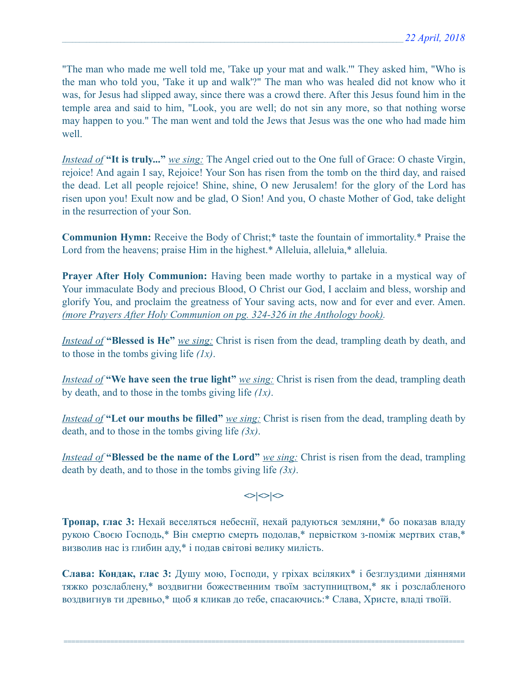"The man who made me well told me, 'Take up your mat and walk.'" They asked him, "Who is the man who told you, 'Take it up and walk'?" The man who was healed did not know who it was, for Jesus had slipped away, since there was a crowd there. After this Jesus found him in the temple area and said to him, "Look, you are well; do not sin any more, so that nothing worse may happen to you." The man went and told the Jews that Jesus was the one who had made him well.

*Instead of* **"It is truly..."** *we sing:* The Angel cried out to the One full of Grace: O chaste Virgin, rejoice! And again I say, Rejoice! Your Son has risen from the tomb on the third day, and raised the dead. Let all people rejoice! Shine, shine, O new Jerusalem! for the glory of the Lord has risen upon you! Exult now and be glad, O Sion! And you, O chaste Mother of God, take delight in the resurrection of your Son.

**Communion Hymn:** Receive the Body of Christ;\* taste the fountain of immortality.\* Praise the Lord from the heavens; praise Him in the highest.\* Alleluia, alleluia,\* alleluia.

**Prayer After Holy Communion:** Having been made worthy to partake in a mystical way of Your immaculate Body and precious Blood, O Christ our God, I acclaim and bless, worship and glorify You, and proclaim the greatness of Your saving acts, now and for ever and ever. Amen. *(more Prayers After Holy Communion on pg. 324-326 in the Anthology book).*

*Instead of* **"Blessed is He"** *we sing:* Christ is risen from the dead, trampling death by death, and to those in the tombs giving life *(1x)*.

*Instead of* **"We have seen the true light"** *we sing:* Christ is risen from the dead, trampling death by death, and to those in the tombs giving life *(1x)*.

*Instead of* **"Let our mouths be filled"** *we sing:* Christ is risen from the dead, trampling death by death, and to those in the tombs giving life *(3x)*.

*Instead of* **"Blessed be the name of the Lord"** *we sing:* Christ is risen from the dead, trampling death by death, and to those in the tombs giving life *(3x)*.

# $\left| \diamond \right| \diamond \left| \diamond \right|$

**Тропар, глас 3:** Нехай веселяться небеснії, нехай радуються земляни,\* бо показав владу рукою Своєю Господь,\* Він смертю смерть подолав,\* первістком з-поміж мертвих став,\* визволив нас із глибин аду,\* і подав світові велику милість.

**Слава: Кондак, глас 3:** Душу мою, Господи, у гріхах всіляких\* і безглуздими діяннями тяжко розслаблену,\* воздвигни божественним твоїм заступництвом,\* як і розслабленого воздвигнув ти древньо,\* щоб я кликав до тебе, спасаючись:\* Слава, Христе, владі твоїй.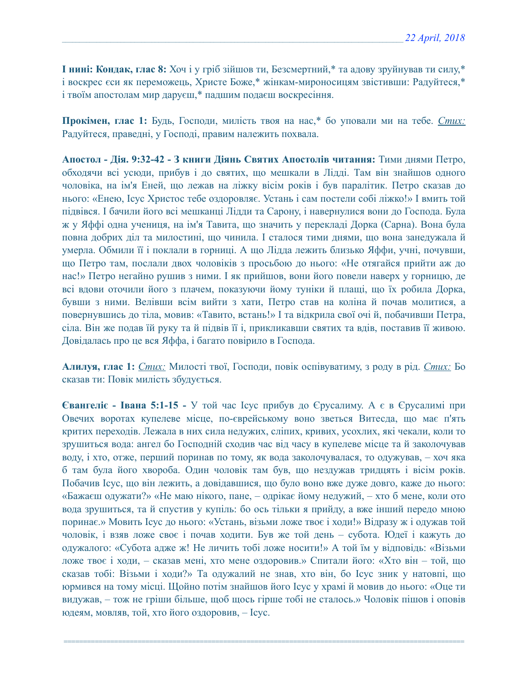**І нині: Кондак, глас 8:** Хоч і у гріб зійшов ти, Безсмертний,\* та адову зруйнував ти силу,\* і воскрес єси як переможець, Христе Боже,\* жінкам-мироносицям звістивши: Радуйтеся,\* і твоїм апостолам мир даруєш,\* падшим подаєш воскресіння.

**Прокімен, глас 1:** Будь, Господи, милість твоя на нас,\* бо уповали ми на тебе. *Cтих:* Радуйтеся, праведні, у Господі, правим належить похвала.

**Апостол - Дія. 9:32-42 - З книги Діянь Святих Апостолів читання:** Тими днями Петро, обходячи всі усюди, прибув і до святих, що мешкали в Лідді. Там він знайшов одного чоловіка, на ім'я Еней, що лежав на ліжку вісім років і був паралітик. Петро сказав до нього: «Енею, Ісус Христос тебе оздоровляє. Устань і сам постели собі ліжко!» І вмить той підвівся. І бачили його всі мешканці Лідди та Сарону, і навернулися вони до Господа. Була ж у Яффі одна учениця, на ім'я Тавита, що значить у перекладі Дорка (Сарна). Вона була повна добрих діл та милостині, що чинила. І сталося тими днями, що вона занедужала й умерла. Обмили її і поклали в горниці. А що Лідда лежить близько Яффи, учні, почувши, що Петро там, послали двох чоловіків з просьбою до нього: «Не отягайся прийти аж до нас!» Петро негайно рушив з ними. І як прийшов, вони його повели наверх у горницю, де всі вдови оточили його з плачем, показуючи йому туніки й плащі, що їх робила Дорка, бувши з ними. Велівши всім вийти з хати, Петро став на коліна й почав молитися, а повернувшись до тіла, мовив: «Тавито, встань!» І та відкрила свої очі й, побачивши Петра, сіла. Він же подав їй руку та й підвів її і, прикликавши святих та вдів, поставив її живою. Довідалась про це вся Яффа, і багато повірило в Господа.

**Алилуя, глас 1:** *Cтих:* Милості твої, Господи, повік оспівуватиму, з роду в рід. *Cтих:* Бо сказав ти: Повік милість збудується.

**Євангеліє - Івана 5:1-15 -** У той час Ісус прибув до Єрусалиму. А є в Єрусалимі при Овечих воротах купелеве місце, по-єврейському воно зветься Витесда, що має п'ять критих переходів. Лежала в них сила недужих, сліпих, кривих, усохлих, які чекали, коли то зрушиться вода: ангел бо Господній сходив час від часу в купелеве місце та й заколочував воду, і хто, отже, перший поринав по тому, як вода заколочувалася, то одужував, – хоч яка б там була його хвороба. Один чоловік там був, що нездужав тридцять і вісім років. Побачив Ісус, що він лежить, а довідавшися, що було воно вже дуже довго, каже до нього: «Бажаєш одужати?» «Не маю нікого, пане, – одрікає йому недужий, – хто б мене, коли ото вода зрушиться, та й спустив у купіль: бо ось тільки я прийду, а вже інший передо мною поринає.» Мовить Ісус до нього: «Устань, візьми ложе твоє і ходи!» Відразу ж і одужав той чоловік, і взяв ложе своє і почав ходити. Був же той день – субота. Юдеї і кажуть до одужалого: «Субота адже ж! Не личить тобі ложе носити!» А той їм у відповідь: «Візьми ложе твоє і ходи, – сказав мені, хто мене оздоровив.» Спитали його: «Хто він – той, що сказав тобі: Візьми і ходи?» Та одужалий не знав, хто він, бо Ісус зник у натовпі, що юрмився на тому місці. Щойно потім знайшов його Ісус у храмі й мовив до нього: «Оце ти видужав, – тож не гріши більше, щоб щось гірше тобі не сталось.» Чоловік пішов і оповів юдеям, мовляв, той, хто його оздоровив, – Ісус.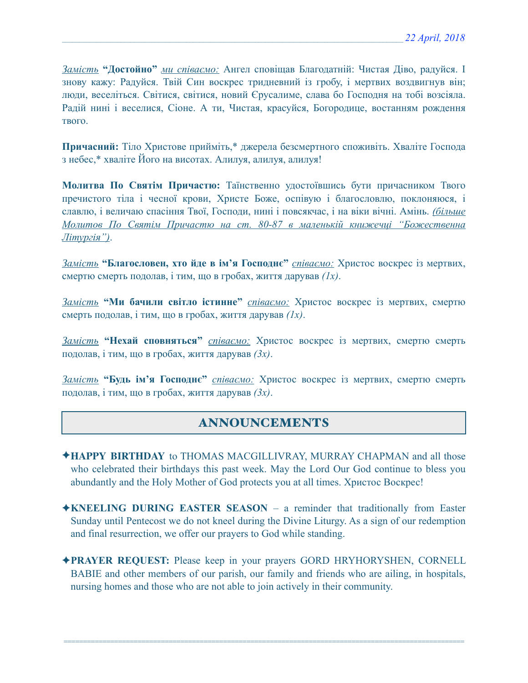*Замість* **"Достойно"** *ми співаємо:* Ангел сповіщав Благодатній: Чистая Діво, радуйся. І знову кажу: Радуйся. Твій Син воскрес тридневний із гробу, і мертвих воздвигнув він; люди, веселіться. Світися, світися, новий Єрусалиме, слава бо Господня на тобі возсіяла. Радій нині і веселися, Сіоне. А ти, Чистая, красуйся, Богородице, востанням рождення твого.

**Причасний:** Тіло Христове прийміть,\* джерела безсмертного споживіть. Хваліте Господа з небес,\* хваліте Його на висотах. Алилуя, aлилуя, aлилуя!

**Молитва По Святім Причастю:** Таїнственно удостоївшись бути причасником Твого пречистого тіла і чесної крови, Христе Боже, оспівую і благословлю, поклоняюся, і славлю, і величаю спасіння Твої, Господи, нині і повсякчас, і на віки вічні. Амінь. *(більше Молитов По Святім Причастю на ст. 80-87 в маленькій книжечці "Божественна Літургія")*.

*Замість* **"Благословен, хто йде в ім'я Господнє"** *співаємо:* Христос воскрес із мертвих, смертю смерть подолав, і тим, що в гробах, життя дарував *(1x)*.

*Замість* **"Ми бачили світло істинне"** *співаємо:* Христос воскрес із мертвих, смертю смерть подолав, і тим, що в гробах, життя дарував *(1x)*.

*Замість* **"Нехай сповняться"** *співаємо:* Христос воскрес із мертвих, смертю смерть подолав, і тим, що в гробах, життя дарував *(3x)*.

*Замість* **"Будь ім'я Господнє"** *співаємо:* Христос воскрес із мертвих, смертю смерть подолав, і тим, що в гробах, життя дарував *(3x)*.

# ANNOUNCEMENTS

- ✦**HAPPY BIRTHDAY** to THOMAS MACGILLIVRAY, MURRAY CHAPMAN and all those who celebrated their birthdays this past week. May the Lord Our God continue to bless you abundantly and the Holy Mother of God protects you at all times. Христос Воскрес!
- ✦**KNEELING DURING EASTER SEASON**  a reminder that traditionally from Easter Sunday until Pentecost we do not kneel during the Divine Liturgy. As a sign of our redemption and final resurrection, we offer our prayers to God while standing.
- ✦**PRAYER REQUEST:** Please keep in your prayers GORD HRYHORYSHEN, CORNELL BABIE and other members of our parish, our family and friends who are ailing, in hospitals, nursing homes and those who are not able to join actively in their community.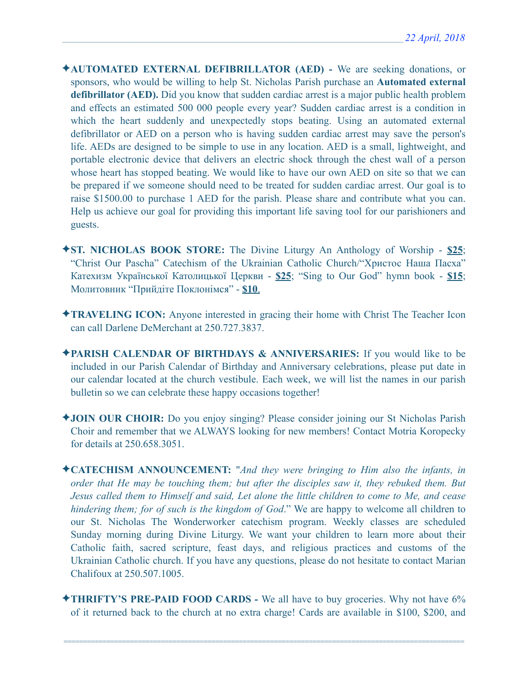- ✦**AUTOMATED EXTERNAL DEFIBRILLATOR (AED)** We are seeking donations, or sponsors, who would be willing to help St. Nicholas Parish purchase an **Automated external defibrillator (AED).** Did you know that sudden cardiac arrest is a major public health problem and effects an estimated 500 000 people every year? Sudden cardiac arrest is a condition in which the heart suddenly and unexpectedly stops beating. Using an automated external defibrillator or AED on a person who is having sudden cardiac arrest may save the person's life. AEDs are designed to be simple to use in any location. AED is a small, lightweight, and portable electronic device that delivers an electric shock through the chest wall of a person whose heart has stopped beating. We would like to have our own AED on site so that we can be prepared if we someone should need to be treated for sudden cardiac arrest. Our goal is to raise \$1500.00 to purchase 1 AED for the parish. Please share and contribute what you can. Help us achieve our goal for providing this important life saving tool for our parishioners and guests.
- ✦**ST. NICHOLAS BOOK STORE:** The Divine Liturgy An Anthology of Worship **\$25**; "Christ Our Pascha" Catechism of the Ukrainian Catholic Church/"Христос Наша Пасха" Катехизм Української Католицької Церкви - **\$25**; "Sing to Our God" hymn book - **\$15**; Молитовник "Прийдіте Поклонімся" - **\$10**.
- ✦**TRAVELING ICON:** Anyone interested in gracing their home with Christ The Teacher Icon can call Darlene DeMerchant at 250.727.3837.
- ✦**PARISH CALENDAR OF BIRTHDAYS & ANNIVERSARIES:** If you would like to be included in our Parish Calendar of Birthday and Anniversary celebrations, please put date in our calendar located at the church vestibule. Each week, we will list the names in our parish bulletin so we can celebrate these happy occasions together!
- ✦**JOIN OUR CHOIR:** Do you enjoy singing? Please consider joining our St Nicholas Parish Choir and remember that we ALWAYS looking for new members! Contact Motria Koropecky for details at 250.658.3051.
- ✦**CATECHISM ANNOUNCEMENT:** "*And they were bringing to Him also the infants, in order that He may be touching them; but after the disciples saw it, they rebuked them. But Jesus called them to Himself and said, Let alone the little children to come to Me, and cease hindering them; for of such is the kingdom of God*." We are happy to welcome all children to our St. Nicholas The Wonderworker catechism program. Weekly classes are scheduled Sunday morning during Divine Liturgy. We want your children to learn more about their Catholic faith, sacred scripture, feast days, and religious practices and customs of the Ukrainian Catholic church. If you have any questions, please do not hesitate to contact Marian Chalifoux at 250.507.1005.
- ✦**THRIFTY'S PRE-PAID FOOD CARDS** We all have to buy groceries. Why not have 6% of it returned back to the church at no extra charge! Cards are available in \$100, \$200, and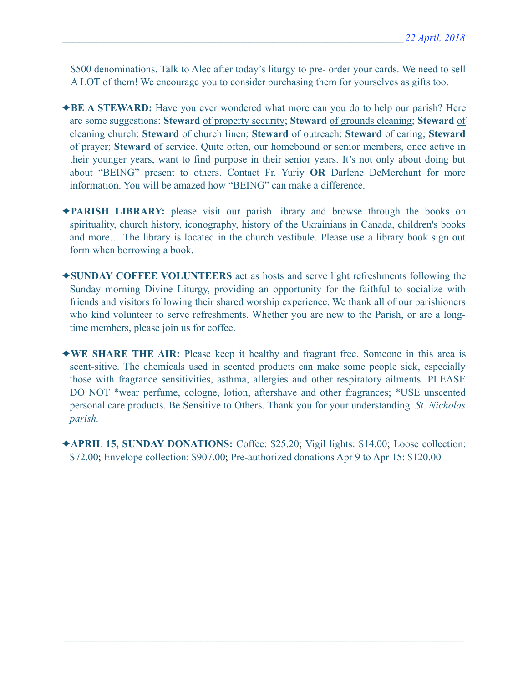\$500 denominations. Talk to Alec after today's liturgy to pre- order your cards. We need to sell A LOT of them! We encourage you to consider purchasing them for yourselves as gifts too.

- ✦**BE A STEWARD:** Have you ever wondered what more can you do to help our parish? Here are some suggestions: **Steward** of property security; **Steward** of grounds cleaning; **Steward** of cleaning church; **Steward** of church linen; **Steward** of outreach; **Steward** of caring; **Steward** of prayer; **Steward** of service. Quite often, our homebound or senior members, once active in their younger years, want to find purpose in their senior years. It's not only about doing but about "BEING" present to others. Contact Fr. Yuriy **OR** Darlene DeMerchant for more information. You will be amazed how "BEING" can make a difference.
- ✦**PARISH LIBRARY:** please visit our parish library and browse through the books on spirituality, church history, iconography, history of the Ukrainians in Canada, children's books and more… The library is located in the church vestibule. Please use a library book sign out form when borrowing a book.
- ✦**SUNDAY COFFEE VOLUNTEERS** act as hosts and serve light refreshments following the Sunday morning Divine Liturgy, providing an opportunity for the faithful to socialize with friends and visitors following their shared worship experience. We thank all of our parishioners who kind volunteer to serve refreshments. Whether you are new to the Parish, or are a longtime members, please join us for coffee.
- ✦**WE SHARE THE AIR:** Please keep it healthy and fragrant free. Someone in this area is scent-sitive. The chemicals used in scented products can make some people sick, especially those with fragrance sensitivities, asthma, allergies and other respiratory ailments. PLEASE DO NOT \*wear perfume, cologne, lotion, aftershave and other fragrances; \*USE unscented personal care products. Be Sensitive to Others. Thank you for your understanding. *St. Nicholas parish.*
- ✦**APRIL 15, SUNDAY DONATIONS:** Coffee: \$25.20; Vigil lights: \$14.00; Loose collection: \$72.00; Envelope collection: \$907.00; Pre-authorized donations Apr 9 to Apr 15: \$120.00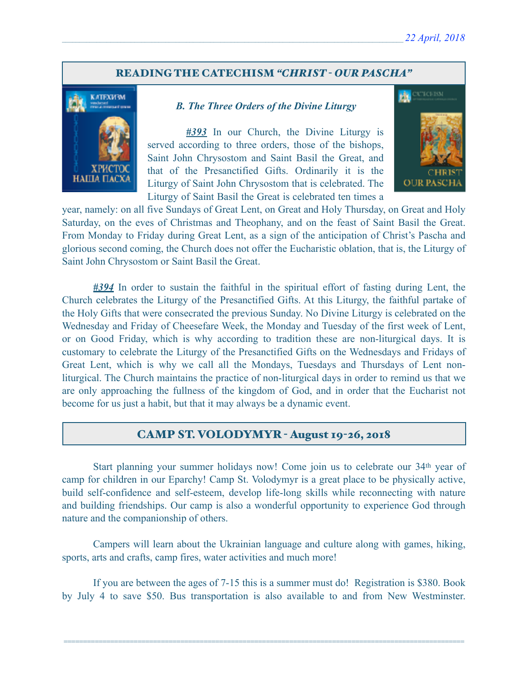### READING THE CATECHISM *"CHRIST - OUR PASCHA"*



#### *B. The Three Orders of the Divine Liturgy*

 *#393* In our Church, the Divine Liturgy is served according to three orders, those of the bishops, Saint John Chrysostom and Saint Basil the Great, and that of the Presanctified Gifts. Ordinarily it is the Liturgy of Saint John Chrysostom that is celebrated. The Liturgy of Saint Basil the Great is celebrated ten times a



year, namely: on all five Sundays of Great Lent, on Great and Holy Thursday, on Great and Holy Saturday, on the eves of Christmas and Theophany, and on the feast of Saint Basil the Great. From Monday to Friday during Great Lent, as a sign of the anticipation of Christ's Pascha and glorious second coming, the Church does not offer the Eucharistic oblation, that is, the Liturgy of Saint John Chrysostom or Saint Basil the Great.

*#394* In order to sustain the faithful in the spiritual effort of fasting during Lent, the Church celebrates the Liturgy of the Presanctified Gifts. At this Liturgy, the faithful partake of the Holy Gifts that were consecrated the previous Sunday. No Divine Liturgy is celebrated on the Wednesday and Friday of Cheesefare Week, the Monday and Tuesday of the first week of Lent, or on Good Friday, which is why according to tradition these are non-liturgical days. It is customary to celebrate the Liturgy of the Presanctified Gifts on the Wednesdays and Fridays of Great Lent, which is why we call all the Mondays, Tuesdays and Thursdays of Lent nonliturgical. The Church maintains the practice of non-liturgical days in order to remind us that we are only approaching the fullness of the kingdom of God, and in order that the Eucharist not become for us just a habit, but that it may always be a dynamic event.

# CAMP ST. VOLODYMYR - August 19-26, 2018

 Start planning your summer holidays now! Come join us to celebrate our 34th year of camp for children in our Eparchy! Camp St. Volodymyr is a great place to be physically active, build self-confidence and self-esteem, develop life-long skills while reconnecting with nature and building friendships. Our camp is also a wonderful opportunity to experience God through nature and the companionship of others.

 Campers will learn about the Ukrainian language and culture along with games, hiking, sports, arts and crafts, camp fires, water activities and much more!

 If you are between the ages of 7-15 this is a summer must do! Registration is \$380. Book by July 4 to save \$50. Bus transportation is also available to and from New Westminster.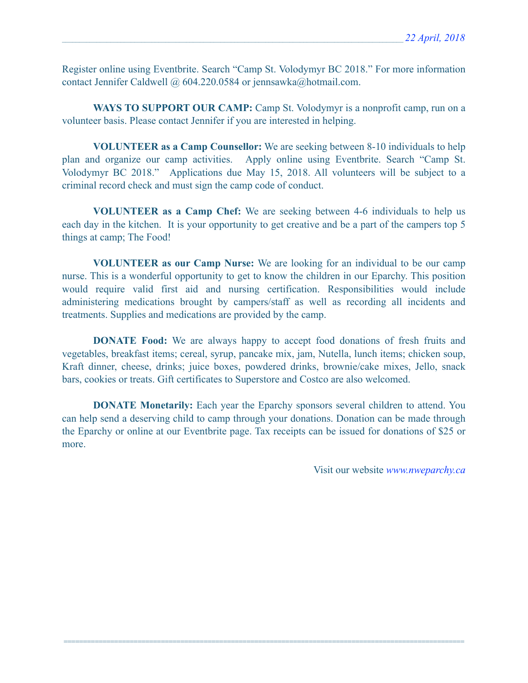Register online using Eventbrite. Search "Camp St. Volodymyr BC 2018." For more information contact Jennifer Caldwell @ 604.220.0584 or [jennsawka@hotmail.com.](mailto:jennsawka@hotmail.com)

**WAYS TO SUPPORT OUR CAMP:** Camp St. Volodymyr is a nonprofit camp, run on a volunteer basis. Please contact Jennifer if you are interested in helping.

**VOLUNTEER as a Camp Counsellor:** We are seeking between 8-10 individuals to help plan and organize our camp activities. Apply online using Eventbrite. Search "Camp St. Volodymyr BC 2018." Applications due May 15, 2018. All volunteers will be subject to a criminal record check and must sign the camp code of conduct.

**VOLUNTEER as a Camp Chef:** We are seeking between 4-6 individuals to help us each day in the kitchen. It is your opportunity to get creative and be a part of the campers top 5 things at camp; The Food!

**VOLUNTEER as our Camp Nurse:** We are looking for an individual to be our camp nurse. This is a wonderful opportunity to get to know the children in our Eparchy. This position would require valid first aid and nursing certification. Responsibilities would include administering medications brought by campers/staff as well as recording all incidents and treatments. Supplies and medications are provided by the camp.

**DONATE Food:** We are always happy to accept food donations of fresh fruits and vegetables, breakfast items; cereal, syrup, pancake mix, jam, Nutella, lunch items; chicken soup, Kraft dinner, cheese, drinks; juice boxes, powdered drinks, brownie/cake mixes, Jello, snack bars, cookies or treats. Gift certificates to Superstore and Costco are also welcomed.

 **DONATE Monetarily:** Each year the Eparchy sponsors several children to attend. You can help send a deserving child to camp through your donations. Donation can be made through the Eparchy or online at our Eventbrite page. Tax receipts can be issued for donations of \$25 or more.

=======================================================================================================

Visit our website *[www.nweparchy.ca](http://www.nweparchy.ca)*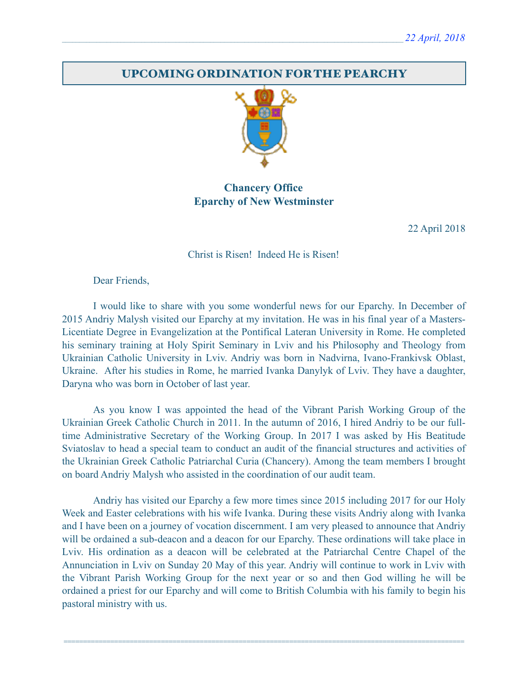### UPCOMING ORDINATION FOR THE PEARCHY



**Chancery Office Eparchy of New Westminster** 

22 April 2018

Christ is Risen! Indeed He is Risen!

Dear Friends,

 I would like to share with you some wonderful news for our Eparchy. In December of 2015 Andriy Malysh visited our Eparchy at my invitation. He was in his final year of a Masters-Licentiate Degree in Evangelization at the Pontifical Lateran University in Rome. He completed his seminary training at Holy Spirit Seminary in Lviv and his Philosophy and Theology from Ukrainian Catholic University in Lviv. Andriy was born in Nadvirna, Ivano-Frankivsk Oblast, Ukraine. After his studies in Rome, he married Ivanka Danylyk of Lviv. They have a daughter, Daryna who was born in October of last year.

 As you know I was appointed the head of the Vibrant Parish Working Group of the Ukrainian Greek Catholic Church in 2011. In the autumn of 2016, I hired Andriy to be our fulltime Administrative Secretary of the Working Group. In 2017 I was asked by His Beatitude Sviatoslav to head a special team to conduct an audit of the financial structures and activities of the Ukrainian Greek Catholic Patriarchal Curia (Chancery). Among the team members I brought on board Andriy Malysh who assisted in the coordination of our audit team.

 Andriy has visited our Eparchy a few more times since 2015 including 2017 for our Holy Week and Easter celebrations with his wife Ivanka. During these visits Andriy along with Ivanka and I have been on a journey of vocation discernment. I am very pleased to announce that Andriy will be ordained a sub-deacon and a deacon for our Eparchy. These ordinations will take place in Lviv. His ordination as a deacon will be celebrated at the Patriarchal Centre Chapel of the Annunciation in Lviv on Sunday 20 May of this year. Andriy will continue to work in Lviv with the Vibrant Parish Working Group for the next year or so and then God willing he will be ordained a priest for our Eparchy and will come to British Columbia with his family to begin his pastoral ministry with us.